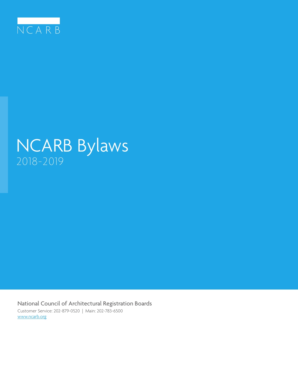

# NCARB Bylaws 2018-2019

National Council of Architectural Registration Boards Customer Service: 202-879-0520 | Main: 202-783-6500 www.ncarb.org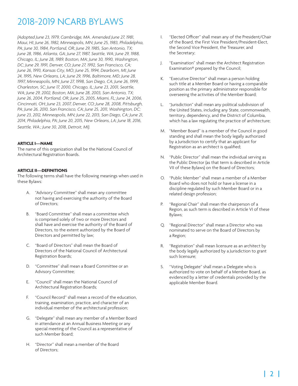*(Adopted June 23, 1979, Cambridge, MA. Amended June 27, 1981, Maui, HI; June 26, 1982, Minneapolis, MN; June 25, 1983, Philadelphia, PA; June 30, 1984, Portland, OR; June 29, 1985, San Antonio, TX; June 28, 1986, Atlanta, GA; June 27, 1987, Seattle, WA; June 29, 1988, Chicago, IL; June 28, 1989, Boston, MA; June 30, 1990, Washington, DC; June 29, 1991, Denver, CO; June 27, 1992, San Francisco, CA; June 26, 1993, Kansas City, MO; June 25, 1994, Dearborn, MI; June 24, 1995, New Orleans, LA; June 29, 1996, Baltimore, MD; June 28, 1997, Minneapolis, MN; June 27, 1998, San Diego, CA; June 26, 1999, Charleston, SC; June 17, 2000, Chicago, IL; June 23, 2001, Seattle, WA; June 29, 2002, Boston, MA; June 28, 2003, San Antonio, TX; June 26, 2004, Portland, OR; June 25, 2005, Miami, FL; June 24, 2006, Cincinnati, OH; June 23, 2007, Denver, CO; June 28, 2008, Pittsburgh, PA; June 26, 2010, San Francisco, CA; June 25, 2011, Washington, DC; June 23, 2012, Minneapolis, MN; June 22, 2013, San Diego, CA; June 21, 2014, Philadelphia, PA; June 20, 2015, New Orleans, LA; June 18, 2016, Seattle, WA.; June 30, 2018, Detroit, MI).*

#### **ARTICLE I—NAME**

The name of this organization shall be the National Council of Architectural Registration Boards.

#### **ARTICLE II—DEFINITIONS**

The following terms shall have the following meanings when used in these Bylaws:

- A. "Advisory Committee" shall mean any committee not having and exercising the authority of the Board of Directors;
- B. "Board Committee" shall mean a committee which is comprised solely of two or more Directors and shall have and exercise the authority of the Board of Directors, to the extent authorized by the Board of Directors and permitted by law;
- C. "Board of Directors" shall mean the Board of Directors of the National Council of Architectural Registration Boards;
- D. "Committee" shall mean a Board Committee or an Advisory Committee;
- E. "Council" shall mean the National Council of Architectural Registration Boards;
- F. "Council Record" shall mean a record of the education, training, examination, practice, and character of an individual member of the architectural profession;
- G. "Delegate" shall mean any member of a Member Board in attendance at an Annual Business Meeting or any special meeting of the Council as a representative of such Member Board;
- H. "Director" shall mean a member of the Board of Directors;
- I. "Elected Officer" shall mean any of the President/Chair of the Board, the First Vice President/President-Elect, the Second Vice President, the Treasurer, and the Secretary;
- J. "Examination" shall mean the Architect Registration Examination® prepared by the Council;
- K. "Executive Director" shall mean a person holding such title at a Member Board or having a comparable position as the primary administrator responsible for overseeing the activities of the Member Board;
- L. "Jurisdiction" shall mean any political subdivision of the United States, including any State, commonwealth, territory, dependency, and the District of Columbia, which has a law regulating the practice of architecture;
- M. "Member Board" is a member of the Council in good standing and shall mean the body legally authorized by a Jurisdiction to certify that an applicant for Registration as an architect is qualified;
- N. "Public Director" shall mean the individual serving as the Public Director (as that term is described in Article VII of these Bylaws) on the Board of Directors;
- O. "Public Member" shall mean a member of a Member Board who does not hold or have a license in a discipline regulated by such Member Board or in a related design profession;
- P. "Regional Chair" shall mean the chairperson of a Region, as such term is described in Article VI of these Bylaws;
- Q. "Regional Director" shall mean a Director who was nominated to serve on the Board of Directors by a Region;
- R. "Registration" shall mean licensure as an architect by the body legally authorized by a Jurisdiction to grant such licensure;
- S. "Voting Delegate" shall mean a Delegate who is authorized to vote on behalf of a Member Board, as evidenced by a letter of credentials provided by the applicable Member Board.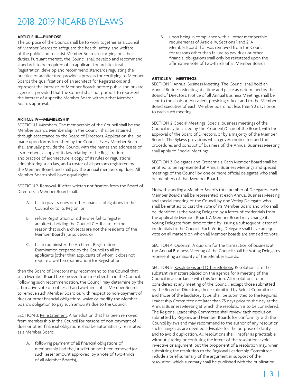#### **ARTICLE III—PURPOSE**

The purpose of the Council shall be to work together as a council of Member Boards to safeguard the health, safety, and welfare of the public and to assist Member Boards in carrying out their duties. Pursuant thereto, the Council shall develop and recommend standards to be required of an applicant for architectural Registration; develop and recommend standards regulating the practice of architecture; provide a process for certifying to Member Boards the qualifications of an architect for Registration; and represent the interests of Member Boards before public and private agencies, provided that the Council shall not purport to represent the interest of a specific Member Board without that Member Board's approval.

#### **ARTICLE IV—MEMBERSHIP**

SECTION 1. Members. The membership of the Council shall be the Member Boards. Membership in the Council shall be attained through acceptance by the Board of Directors. Application shall be made upon forms furnished by the Council. Every Member Board shall annually provide the Council with the names and addresses of its members, a copy of its law relating to the Registration and practice of architecture, a copy of its rules or regulations administering such law, and a roster of all persons registered by the Member Board, and shall pay the annual membership dues. All Member Boards shall have equal rights.

SECTION 2. Removal. If, after written notification from the Board of Directors, a Member Board shall:

- A. fail to pay its dues or other financial obligations to the Council or to its Region, or
- B. refuse Registration or otherwise fail to register architects holding the Council Certificate for the reason that such architects are not the residents of the Member Board's jurisdiction, or
- C. fail to administer the Architect Registration Examination prepared by the Council to all its applicants (other than applicants of whom it does not require a written examination) for Registration,

then the Board of Directors may recommend to the Council that such Member Board be removed from membership in the Council. Following such recommendation, the Council may determine by the affirmative vote of not less than two-thirds of all Member Boards to remove such Member Board or, with respect to non-payment of dues or other financial obligations, waive or modify the Member Board's obligation to pay such amounts due to the Council.

SECTION 3. Reinstatement. A Jurisdiction that has been removed from membership in the Council for reasons of non-payment of dues or other financial obligations shall be automatically reinstated as a Member Board:

A. following payment of all financial obligations of membership had the Jurisdiction not been removed (or such lesser amount approved, by a vote of two-thirds of all Member Boards),

B. upon being in compliance with all other membership requirements of Article IV, Sections 1 and 2; A Member Board that was removed from the Council for reasons other than failure to pay dues or other financial obligations shall only be reinstated upon the affirmative vote of two-thirds of all Member Boards.

#### **ARTICLE V—MEETINGS**

SECTION 1. Annual Business Meeting. The Council shall hold an Annual Business Meeting at a time and place as determined by the Board of Directors. Notice of all Annual Business Meetings shall be sent to the chair or equivalent presiding officer and to the Member Board Executive of each Member Board not less than 90 days prior to each such meeting.

SECTION 2. Special Meetings. Special business meetings of the Council may be called by the President/Chair of the Board, with the approval of the Board of Directors, or by a majority of the Member Boards. The Bylaws provisions which govern notice for, and the procedures and conduct of business of, the Annual Business Meeting shall apply to Special Meetings.

SECTION 3. Delegates and Credentials. Each Member Board shall be entitled to be represented at Annual Business Meetings and special meetings of the Council by one or more official delegates who shall be members of that Member Board.

Notwithstanding a Member Board's total number of Delegates, each Member Board shall be represented at each Annual Business Meeting and special meeting of the Council by one Voting Delegate, who shall be entitled to cast the vote of its Member Board and who shall be identified as the Voting Delegate by a letter of credentials from the applicable Member Board. A Member Board may change its Voting Delegate from time to time by issuing a subsequent letter of credentials to the Council. Each Voting Delegate shall have an equal vote on all matters on which all Member Boards are entitled to vote.

SECTION 4. Quorum. A quorum for the transaction of business at the Annual Business Meeting of the Council shall be Voting Delegates representing a majority of the Member Boards.

SECTION 5. Resolutions and Other Motions. Resolutions are the substantive matters placed on the agenda for a meeting of the Council in accordance with this Section. All resolutions to be considered at any meeting of the Council, except those submitted by the Board of Directors, those submitted by Select Committees and those of the laudatory type, shall be submitted to the Regional Leadership Committee not later than 75 days prior to the day at the Annual Business Meeting at which the resolution is to be considered. The Regional Leadership Committee shall review each resolution submitted by Regions and Member Boards for conformity with the Council Bylaws and may recommend to the author of any resolution such changes as are deemed advisable for the purpose of clarity and to avoid duplication. All resolutions shall, insofar as practicable without altering or confusing the intent of the resolution, avoid invective or argument; but the proponent of a resolution may, when submitting the resolution to the Regional Leadership Committee, include a brief summary of the argument in support of the resolution, which summary shall be published with the publication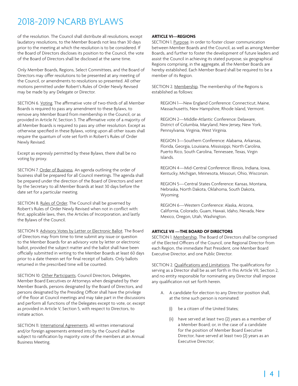of the resolution. The Council shall distribute all resolutions, except laudatory resolutions, to the Member Boards not less than 30 days prior to the meeting at which the resolution is to be considered. If the Board of Directors discloses its position to the Council, the vote of the Board of Directors shall be disclosed at the same time.

Only Member Boards, Regions, Select Committees, and the Board of Directors may offer resolutions to be presented at any meeting of the Council, or amendments to resolutions so presented. All other motions permitted under Robert's Rules of Order Newly Revised may be made by any Delegate or Director.

SECTION 6. Voting. The affirmative vote of two-thirds of all Member Boards is required to pass any amendment to these Bylaws, to remove any Member Board from membership in the Council, or as provided in Article IV, Section 3. The affirmative vote of a majority of all Member Boards is required to pass any other resolution. Except as otherwise specified in these Bylaws, voting upon all other issues shall require the quantum of vote set forth in Robert's Rules of Order Newly Revised.

Except as expressly permitted by these Bylaws, there shall be no voting by proxy.

SECTION 7. Order of Business. An agenda outlining the order of business shall be prepared for all Council meetings. The agenda shall be prepared under the direction of the Board of Directors and sent by the Secretary to all Member Boards at least 30 days before the date set for a particular meeting.

SECTION 8. Rules of Order. The Council shall be governed by Robert's Rules of Order Newly Revised when not in conflict with: first, applicable laws, then, the Articles of Incorporation, and lastly the Bylaws of the Council.

SECTION 9. Advisory Votes by Letter or Electronic Ballot. The Board of Directors may from time to time submit any issue or question to the Member Boards for an advisory vote by letter or electronic ballot, provided the subject matter and the ballot shall have been officially submitted in writing to the Member Boards at least 60 days prior to a date therein set for final receipt of ballots. Only ballots returned in the prescribed time will be counted.

SECTION 10. Other Participants. Council Directors, Delegates, Member Board Executives or Attorneys when designated by their Member Boards, persons designated by the Board of Directors, and persons designated by the Presiding Officer shall have the privilege of the floor at Council meetings and may take part in the discussions and perform all functions of the Delegates except to vote, or, except as provided in Article V, Section 5, with respect to Directors, to initiate action.

SECTION 11. International Agreements. All written international and/or foreign agreements entered into by the Council shall be subject to ratification by majority vote of the members at an Annual Business Meeting.

### **ARTICLE VI—REGIONS**

SECTION 1. Purpose. In order to foster closer communication between Member Boards and the Council, as well as among Member Boards, and further to foster the development of future leaders and assist the Council in achieving its stated purpose, six geographical Regions comprising, in the aggregate, all the Member Boards are hereby established. Each Member Board shall be required to be a member of its Region.

SECTION 2. Membership. The membership of the Regions is established as follows:

REGION 1—New England Conference: Connecticut, Maine, Massachusetts, New Hampshire, Rhode Island, Vermont.

REGION 2—Middle-Atlantic Conference: Delaware, District of Columbia, Maryland, New Jersey, New York, Pennsylvania, Virginia, West Virginia.

REGION 3—Southern Conference: Alabama, Arkansas, Florida, Georgia, Louisiana, Mississippi, North Carolina, Puerto Rico, South Carolina, Tennessee, Texas, Virgin Islands.

REGION 4—Mid-Central Conference: Illinois, Indiana, Iowa, Kentucky, Michigan, Minnesota, Missouri, Ohio, Wisconsin.

REGION 5—Central States Conference: Kansas, Montana, Nebraska, North Dakota, Oklahoma, South Dakota, Wyoming.

REGION 6—Western Conference: Alaska, Arizona, California, Colorado, Guam, Hawaii, Idaho, Nevada, New Mexico, Oregon, Utah, Washington.

### **ARTICLE VII —THE BOARD OF DIRECTORS**

SECTION 1. Membership. The Board of Directors shall be comprised of the Elected Officers of the Council, one Regional Director from each Region, the immediate Past President, one Member Board Executive Director, and one Public Director.

SECTION 2. Qualifications and Limitations. The qualifications for serving as a Director shall be as set forth in this Article VII, Section 2, and no entity responsible for nominating any Director shall impose any qualification not set forth herein.

- A. A candidate for election to any Director position shall, at the time such person is nominated:
	- (i) be a citizen of the United States;
	- (ii) have served at least two (2) years as a member of a Member Board; or, in the case of a candidate for the position of Member Board Executive Director, have served at least two (2) years as an Executive Director;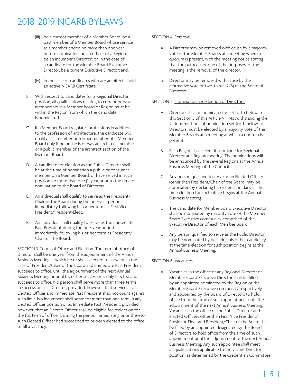- (iii) be a current member of a Member Board; be a past member of a Member Board whose service as a member ended no more than one year before nomination; be an officer of a Region; be an incumbent Director; or, in the case of a candidate for the Member Board Executive Director, be a current Executive Director; and,
- (iv) in the case of candidates who are architects, hold an active NCARB Certificate.
- B. With respect to candidates for a Regional Director position, all qualifications relating to current or past membership in a Member Board or Region must be within the Region from which the candidate is nominated.
- C. If a Member Board regulates professions in addition to the profession of architecture, the candidate will qualify as a member or former member of a Member Board only if he or she is or was an architect-member or a public member of the architect section of the Member Board.
- D. A candidate for election as the Public Director shall be at the time of nomination a public or consumer member on a Member Board, or have served in such position no more than one (1) year prior to the time of nomination to the Board of Directors.
- E. An individual shall qualify to serve as the President/ Chair of the Board during the one-year period immediately following his or her term as First Vice President/President-Elect.
- F. An individual shall qualify to serve as the Immediate Past President during the one-year period immediately following his or her term as President/ Chair of the Board.

SECTION 3. Terms of Office and Election. The term of office of a Director shall be one year from the adjournment of the Annual Business Meeting at which he or she is elected to serve or, in the case of President/Chair of the Board and Immediate Past President, succeeds to office, until the adjournment of the next Annual Business Meeting or until his or her successor is duly elected and succeeds to office. No person shall serve more than three terms in succession as a Director; provided, however, that service as an Elected Officer and Immediate Past President shall not count against such limit. No incumbent shall serve for more than one term in any Elected Officer position or as Immediate Past President; provided, however, that an Elected Officer shall be eligible for reelection for the full term of office if, during the period immediately prior thereto, such Elected Officer had succeeded to or been elected to the office to fill a vacancy.

### SECTION 4. Removal.

- A. A Director may be removed with cause by a majority vote of the Member Boards at a meeting where a quorum is present, with the meeting notice stating that the purpose, or one of the purposes, of the meeting is the removal of the director.
- B. Director may be removed with cause by the affirmative vote of two-thirds (2/3) of the Board of Directors.

### SECTION 5. Nomination and Election of Directors.

- A. Directors shall be nominated as set forth below in this Section 5 of this Article VII. Notwithstanding the various methods of nomination set forth below, all Directors must be elected by a majority vote of the Member Boards at a meeting at which a quorum is present.
- Each Region shall select its nominee for Regional Director at a Region meeting. The nominations will be announced by the several Regions at the Annual Business Meeting of the Council.
- C. Any person qualified to serve as an Elected Officer (other than President/Chair of the Board) may be nominated by declaring his or her candidacy at the time election for such office begins at the Annual Business Meeting.
- D. The candidate for Member Board Executive Director shall be nominated by majority vote of the Member Board Executive community comprised of the Executive Director of each Member Board.
- E. Any person qualified to serve as the Public Director may be nominated by declaring his or her candidacy at the time election for such position begins at the Annual Business Meeting.

### SECTION 6. Vacancies.

A. Vacancies in the office of any Regional Director or Member Board Executive Director shall be filled by an appointee nominated by the Region or the Member Board Executive community respectively and appointed by the Board of Directors to hold office from the time of such appointment until the adjournment of the next Annual Business Meeting. Vacancies in the office of the Public Director and Elected Officers other than First Vice President/ President-Elect and President/Chair of the Board shall be filled by an appointee designated by the Board of Directors to hold office from the time of such appointment until the adjournment of the next Annual Business Meeting. Any such appointee shall meet all qualifications applicable to the vacant Director position, as determined by the Credentials Committee.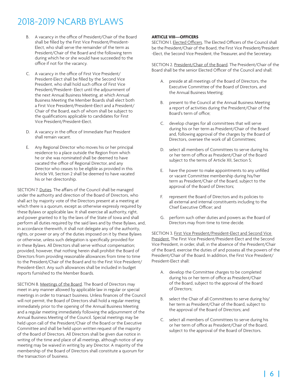- B. A vacancy in the office of President/Chair of the Board shall be filled by the First Vice President/President-Elect, who shall serve the remainder of the term as President/Chair of the Board and the following term during which he or she would have succeeded to the office if not for the vacancy.
- C. A vacancy in the office of First Vice President/ President-Elect shall be filled by the Second Vice President, who shall hold such office of First Vice President/President- Elect until the adjournment of the next Annual Business Meeting, at which Annual Business Meeting the Member Boards shall elect both a First Vice President/President-Elect and a President/ Chair of the Board, each of whom shall be subject to the qualifications applicable to candidates for First Vice President/President-Elect.
- D. A vacancy in the office of Immediate Past President shall remain vacant.
- E. Any Regional Director who moves his or her principal residence to a place outside the Region from which he or she was nominated shall be deemed to have vacated the office of Regional Director, and any Director who ceases to be eligible as provided in this Article VII, Section 2 shall be deemed to have vacated his or her directorship.

SECTION 7. Duties. The affairs of the Council shall be managed under the authority and direction of the Board of Directors, who shall act by majority vote of the Directors present at a meeting at which there is a quorum, except as otherwise expressly required by these Bylaws or applicable law. It shall exercise all authority, right, and power granted to it by the laws of the State of Iowa and shall perform all duties required by the said laws and by these Bylaws, and, in accordance therewith, it shall not delegate any of the authority, rights, or power or any of the duties imposed on it by these Bylaws or otherwise, unless such delegation is specifically provided for in these Bylaws. All Directors shall serve without compensation; provided, however, that nothing herein shall prohibit the Board of Directors from providing reasonable allowances from time to time to the President/Chair of the Board and to the First Vice President/ President-Elect. Any such allowances shall be included in budget reports furnished to the Member Boards.

SECTION 8. Meetings of the Board. The Board of Directors may meet in any manner allowed by applicable law in regular or special meetings in order to transact business. Unless finances of the Council will not permit, the Board of Directors shall hold a regular meeting immediately prior to the opening of the Annual Business Meeting and a regular meeting immediately following the adjournment of the Annual Business Meeting of the Council. Special meetings may be held upon call of the President/Chair of the Board or the Executive Committee and shall be held upon written request of the majority of the Board of Directors. All Directors shall be given due notice in writing of the time and place of all meetings, although notice of any meeting may be waived in writing by any Director. A majority of the membership of the Board of Directors shall constitute a quorum for the transaction of business.

### **ARTICLE VIII—OFFICERS**

SECTION 1. Elected Officers. The Elected Officers of the Council shall be the President/Chair of the Board, the First Vice President/President -Elect, the Second Vice President, the Treasurer, and the Secretary.

SECTION 2. President/Chair of the Board. The President/Chair of the Board shall be the senior Elected Officer of the Council and shall:

- A. preside at all meetings of the Board of Directors, the Executive Committee of the Board of Directors, and the Annual Business Meeting;
- B. present to the Council at the Annual Business Meeting a report of activities during the President/Chair of the Board's term of office;
- C. develop charges for all committees that will serve during his or her term as President/Chair of the Board and, following approval of the charges by the Board of Directors, oversee the work of all Committees;
- D. select all members of Committees to serve during his or her term of office as President/Chair of the Board subject to the terms of Article XII, Section 5;
- E. have the power to make appointments to any unfilled or vacant Committee membership during his/her term as President/Chair of the Board, subject to the approval of the Board of Directors;
- F. represent the Board of Directors and its policies to all external and internal constituents including to the Chief Executive Officer; and
- G. perform such other duties and powers as the Board of Directors may from time to time decide.

SECTION 3. First Vice President/President-Elect and Second Vice President. The First Vice President/President-Elect and the Second Vice President, in order, shall, in the absence of the President/Chair of the Board, exercise the duties of and possess all the powers of the President/Chair of the Board. In addition, the First Vice President/ President-Elect shall:

- A. develop the Committee charges to be completed during his or her term of office as President/Chair of the Board, subject to the approval of the Board of Directors;
- B. select the Chair of all Committees to serve during his/ her term as President/Chair of the Board, subject to the approval of the Board of Directors; and
- C. select all members of Committees to serve during his or her term of office as President/Chair of the Board, subject to the approval of the Board of Directors.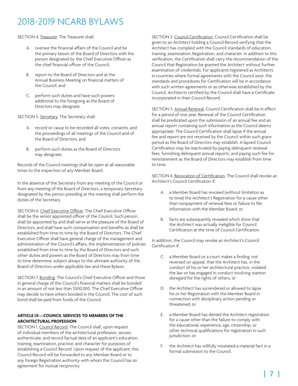SECTION 4. Treasurer. The Treasurer shall:

- A. oversee the financial affairs of the Council and be the primary liaison of the Board of Directors with the person designated by the Chief Executive Officer as the chief financial officer of the Council;
- B. report to the Board of Directors and at the Annual Business Meeting on financial matters of the Council; and
- C. perform such duties and have such powers additional to the foregoing as the Board of Directors may designate.

SECTION 5. Secretary. The Secretary shall:

- A. record or cause to be recorded all votes, consents, and the proceedings of all meetings of the Council and of the Board of Directors; and
- B. perform such duties as the Board of Directors may designate.

Records of the Council meetings shall be open at all reasonable times to the inspection of any Member Board.

In the absence of the Secretary from any meeting of the Council or from any meeting of the Board of Directors, a temporary Secretary designated by the person presiding at the meeting shall perform the duties of the Secretary.

SECTION 6. Chief Executive Officer. The Chief Executive Officer shall be the senior appointed officer of the Council. Such person shall be appointed by and shall serve at the pleasure of the Board of Directors, and shall have such compensation and benefits as shall be established from time to time by the Board of Directors. The Chief Executive Officer shall have general charge of the management and administration of the Council's affairs, the implementation of policies established from time to time by the Board of Directors and such other duties and powers as the Board of Directors may from time to time determine, subject always to the ultimate authority of the Board of Directors under applicable law and these Bylaws.

SECTION 7. Bonding. The Council's Chief Executive Officer and those in general charge of the Council's financial matters shall be bonded in an amount of not less than \$500,000. The Chief Executive Officer may decide to have others bonded in the Council. The cost of such bond shall be paid from funds of the Council.

### **ARTICLE IX—COUNCIL SERVICES TO MEMBERS OF THE ARCHITECTURAL PROFESSION**

SECTION 1. Council Record. The Council shall, upon request of individual members of the architectural profession, secure, authenticate, and record factual data of an applicant's education, training, examination, practice, and character for purposes of establishing a Council Record. Upon request of the applicant, this Council Record will be forwarded to any Member Board or to any foreign Registration authority with whom the Council has an agreement for mutual reciprocity.

SECTION 2. Council Certification. Council Certification shall be given to an Architect holding a Council Record verifying that the Architect has complied with the Council standards of education, training, examination, Registration, and character. In addition to this verification, the Certification shall carry the recommendation of the Council that Registration be granted the Architect without further examination of credentials. For applicants registered as Architects in countries where formal agreements with the Council exist, the standards and procedures for Certification will be in accordance with such written agreements or as otherwise established by the Council. Architects certified by the Council shall have a Certificate incorporated in their Council Record.

SECTION 3. Annual Renewal. Council Certification shall be in effect for a period of one year. Renewal of the Council Certification shall be predicated upon the submission of an annual fee and an annual report containing such information as the Council deems appropriate. The Council Certification shall lapse if the annual fee and report are not received by the Council within such grace period as the Board of Directors may establish. A lapsed Council Certification may be reactivated by paying delinquent renewal fees, furnishing delinquent annual reports, and paying such fee for reinstatement as the Board of Directors may establish from time to time.

SECTION 4. Revocation of Certification. The Council shall revoke an Architect's Council Certification if:

- A. a Member Board has revoked (without limitation as to time) the Architect's Registration for a cause other than nonpayment of renewal fees or failure to file information with the Member Board; or
- B. facts are subsequently revealed which show that the Architect was actually ineligible for Council Certification at the time of Council Certification.

In addition, the Council may revoke an Architect's Council Certification if:

- C. a Member Board or a court makes a finding, not reversed on appeal, that the Architect has, in the conduct of his or her architectural practice, violated the law or has engaged in conduct involving wanton disregard for the rights of others; or
- D. the Architect has surrendered or allowed to lapse his or her Registration with the Member Board in connection with disciplinary action pending or threatened; or
- E. a Member Board has denied the Architect registration for a cause other than the failure to comply with the educational, experience, age, citizenship, or other technical qualifications for registration in such jurisdiction; or
- F. the Architect has willfully misstated a material fact in a formal submission to the Council.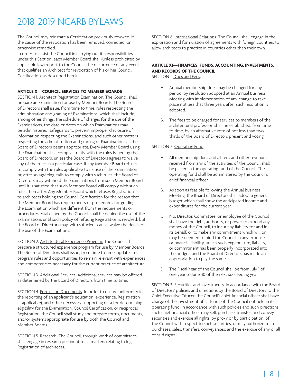The Council may reinstate a Certification previously revoked, if the cause of the revocation has been removed, corrected, or otherwise remedied.

In order to assist the Council in carrying out its responsibilities under this Section, each Member Board shall (unless prohibited by applicable law) report to the Council the occurrence of any event that qualifies an Architect for revocation of his or her Council Certification, as described herein.

#### **ARTICLE X—COUNCIL SERVICES TO MEMBER BOARDS**

SECTION 1. Architect Registration Examination. The Council shall prepare an Examination for use by Member Boards. The Board of Directors shall issue, from time to time, rules respecting the administration and grading of Examinations, which shall include, among other things, the schedule of charges for the use of the Examinations, the date or dates on which Examinations may be administered, safeguards to prevent improper disclosure of information respecting the Examinations, and such other matters respecting the administration and grading of Examinations as the Board of Directors deems appropriate. Every Member Board using the Examination shall comply strictly with the rules issued by the Board of Directors, unless the Board of Directors agrees to waive any of the rules in a particular case. If any Member Board refuses to comply with the rules applicable to its use of the Examination or, after so agreeing, fails to comply with such rules, the Board of Directors may withhold the Examinations from such Member Board until it is satisfied that such Member Board will comply with such rules thereafter. Any Member Board which refuses Registration to architects holding the Council Certification for the reason that the Member Board has requirements or procedures for grading the Examination which are different from the requirements or procedures established by the Council shall be denied the use of the Examinations until such policy of refusing Registration is revoked; but the Board of Directors may, with sufficient cause, waive the denial of the use of the Examinations.

SECTION 2. Architectural Experience Program. The Council shall prepare a structured experience program for use by Member Boards. The Board of Directors shall issue, from time to time, updates to program rules and opportunities to remain relevant with experiences and competencies necessary for the current practice of architecture.

SECTION 3. Additional Services. Additional services may be offered as determined by the Board of Directors from time to time.

SECTION 4. Forms and Documents. In order to ensure uniformity in the reporting of an applicant's education, experience, Registration (if applicable), and other necessary supporting data for determining eligibility for the Examination, Council Certification, or reciprocal Registration, the Council shall study and prepare forms, documents, and/or systems appropriate for use by both the Council and Member Boards.

SECTION 5. Research. The Council, through work of committees, shall engage in research pertinent to all matters relating to legal Registration of architects.

SECTION 6. International Relations. The Council shall engage in the exploration and formulation of agreements with foreign countries to allow architects to practice in countries other than their own.

### **ARTICLE XI—FINANCES, FUNDS, ACCOUNTING, INVESTMENTS, AND RECORDS OF THE COUNCIL**

SECTION 1. Dues and Fees.

- A. Annual membership dues may be changed for any period, by resolution adopted at an Annual Business Meeting with implementation of any change to take place not less that three years after such resolution is adopted.
- B. The fees to be charged for services to members of the architectural profession shall be established, from time to time, by an affirmative vote of not less than twothirds of the Board of Directors present and voting.

#### SECTION 2. Operating Fund.

- A. All membership dues and all fees and other revenues received from any of the activities of the Council shall be placed in the operating fund of the Council. The operating fund shall be administered by the Council's chief financial officer.
- B. As soon as feasible following the Annual Business Meeting, the Board of Directors shall adopt a general budget which shall show the anticipated income and expenditures for the current year.
- C. No, Director, Committee, or employee of the Council shall have the right, authority, or power to expend any money of the Council, to incur any liability for and in its behalf, or to make any commitment which will or may be deemed to bind the Council in any expense or financial liability, unless such expenditure, liability, or commitment has been properly incorporated into the budget, and the Board of Directors has made an appropriation to pay the same.
- D. The Fiscal Year of the Council shall be from July 1 of one year to June 30 of the next succeeding year.

SECTION 3. Securities and Investments. In accordance with the Board of Directors' policies and directions by the Board of Directors to the Chief Executive Officer, the Council's chief financial officer shall have charge of the investment of all funds of the Council not held in its operating fund. In accordance with such policies and such directions, such chief financial officer may sell, purchase, transfer, and convey securities and exercise all rights, by proxy or by participation, of the Council with respect to such securities, or may authorize such purchases, sales, transfers, conveyances, and the exercise of any or all of said rights.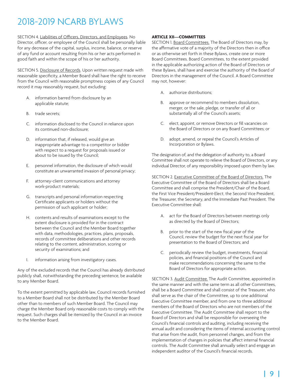SECTION 4. Liabilities of Officers, Directors, and Employees. No Director, officer, or employee of the Council shall be personally liable for any decrease of the capital, surplus, income, balance, or reserve of any fund or account resulting from his or her acts performed in good faith and within the scope of his or her authority.

SECTION 5. Disclosure of Records. Upon written request made with reasonable specificity, a Member Board shall have the right to receive from the Council with reasonable promptness copies of any Council record it may reasonably request, but excluding:

- A. information barred from disclosure by an applicable statute;
- B. trade secrets;
- C. information disclosed to the Council in reliance upon its continued non-disclosure;
- D. information that, if released, would give an inappropriate advantage to a competitor or bidder with respect to a request for proposals issued or about to be issued by the Council;
- E. personnel information, the disclosure of which would constitute an unwarranted invasion of personal privacy;
- F. attorney-client communications and attorney work-product materials;
- G. transcripts and personal information respecting Certificate applicants or holders without the permission of such applicant or holder;
- H. contents and results of examinations except to the extent disclosure is provided for in the contract between the Council and the Member Board together with data, methodologies, practices, plans, proposals, records of committee deliberations and other records relating to the content, administration, scoring or security of examinations; and
- I. information arising from investigatory cases.

Any of the excluded records that the Council has already distributed publicly shall, notwithstanding the preceding sentence, be available to any Member Board.

To the extent permitted by applicable law, Council records furnished to a Member Board shall not be distributed by the Member Board other than to members of such Member Board. The Council may charge the Member Board only reasonable costs to comply with the request. Such charges shall be itemized by the Council in an invoice to the Member Board.

### **ARTICLE XII—COMMITTEES**

SECTION 1. Board Committees. The Board of Directors may, by the affirmative vote of a majority of the Directors then in office or as otherwise set forth in these Bylaws, create one or more Board Committees. Board Committees, to the extent provided in the applicable authorizing action of the Board of Directors or these Bylaws, shall have and exercise the authority of the Board of Directors in the management of the Council. A Board Committee may not, however:

- A. authorize distributions;
- B. approve or recommend to members dissolution, merger, or the sale, pledge, or transfer of all or substantially all of the Council's assets;
- C. elect, appoint, or remove Directors or fill vacancies on the Board of Directors or on any Board Committees; or
- D. adopt, amend, or repeal the Council's Articles of Incorporation or Bylaws.

The designation of, and the delegation of authority to, a Board Committee shall not operate to relieve the Board of Directors, or any individual Director, of any responsibility imposed upon them by law.

SECTION 2. Executive Committee of the Board of Directors. The Executive Committee of the Board of Directors shall be a Board Committee and shall comprise the President/Chair of the Board, the First Vice President/President-Elect, the Second Vice President, the Treasurer, the Secretary, and the Immediate Past President. The Executive Committee shall:

- A. act for the Board of Directors between meetings only as directed by the Board of Directors;
- B. prior to the start of the new fiscal year of the Council, review the budget for the next fiscal year for presentation to the Board of Directors; and
- C. periodically review the budget, investments, financial policies, and financial positions of the Council and make recommendations concerning the same to the Board of Directors for appropriate action.

SECTION 3. Audit Committee. The Audit Committee, appointed in the same manner and with the same term as all other Committees, shall be a Board Committee and shall consist of the Treasurer, who shall serve as the chair of the Committee, up to one additional Executive Committee member, and from one to three additional members of the Board of Directors who are not members of the Executive Committee. The Audit Committee shall report to the Board of Directors and shall be responsible for overseeing the Council's financial controls and auditing, including receiving the annual audit and considering the items of internal accounting control that arise from the audit, from personnel changes, and from the implementation of changes in policies that affect internal financial controls. The Audit Committee shall annually select and engage an independent auditor of the Council's financial records.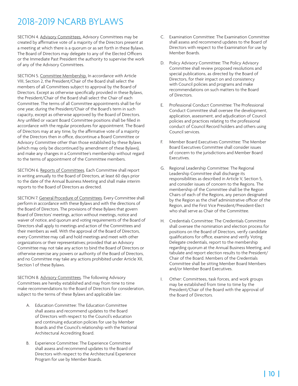SECTION 4. Advisory Committees. Advisory Committees may be created by affirmative vote of a majority of the Directors present at a meeting at which there is a quorum or as set forth in these Bylaws. The Board of Directors may delegate to any of the Elected Officers or the Immediate Past President the authority to supervise the work of any of the Advisory Committees.

SECTION 5. Committee Membership. In accordance with Article VIII, Section 2, the President/Chair of the Board shall select the members of all Committees subject to approval by the Board of Directors. Except as otherwise specifically provided in these Bylaws, the President/Chair of the Board shall select the Chair of each Committee. The terms of all Committee appointments shall be for one year, during the President/Chair of the Board's term in such capacity, except as otherwise approved by the Board of Directors. Any unfilled or vacant Board Committee positions shall be filled in accordance with the regular procedures for appointment. The Board of Directors may at any time, by the affirmative vote of a majority of the Directors then in office, discontinue a Board Committee or Advisory Committee other than those established by these Bylaws (which may only be discontinued by amendment of these Bylaws), and make any changes in a Committee's membership without regard to the terms of appointment of the Committee members.

SECTION 6. Reports of Committees. Each Committee shall report in writing annually to the Board of Directors, at least 60 days prior to the date of the Annual Business Meeting and shall make interim reports to the Board of Directors as directed.

SECTION 7. General Procedure of Committees. Every Committee shall perform in accordance with these Bylaws and with the directions of the Board of Directors. The provisions of these Bylaws that govern Board of Directors' meetings, action without meetings, notice and waiver of notice, and quorum and voting requirements of the Board of Directors shall apply to meetings and action of the Committees and their members as well. With the approval of the Board of Directors, every Committee may call and hold meetings and meet with other organizations or their representatives; provided that an Advisory Committee may not take any action to bind the Board of Directors or otherwise exercise any powers or authority of the Board of Directors, and no Committee may take any actions prohibited under Article XII, Section 1 of these Bylaws.

SECTION 8. Advisory Committees. The following Advisory Committees are hereby established and may from time to time make recommendations to the Board of Directors for consideration, subject to the terms of these Bylaws and applicable law:

- A. Education Committee: The Education Committee shall assess and recommend updates to the Board of Directors with respect to the Council's education and continuing education policies for use by Member Boards and the Council's relationship with the National Architectural Accrediting Board.
- B. Experience Committee: The Experience Committee shall assess and recommend updates to the Board of Directors with respect to the Architectural Experience Program for use by Member Boards.
- C. Examination Committee: The Examination Committee shall assess and recommend updates to the Board of Directors with respect to the Examination for use by Member Boards.
- D. Policy Advisory Committee: The Policy Advisory Committee shall review proposed resolutions and special publications, as directed by the Board of Directors, for their impact on and consistency with Council policies and programs and make recommendations on such matters to the Board of Directors.
- E. Professional Conduct Committee: The Professional Conduct Committee shall oversee the development, application, assessment, and adjudication of Council policies and practices relating to the professional conduct of Council Record holders and others using Council services.
- F. Member Board Executives Committee: The Member Board Executives Committee shall consider issues of concern to the jurisdictions and Member Board Executives.
- G. Regional Leadership Committee: The Regional Leadership Committee shall discharge its responsibilities as described in Article V, Section 5, and consider issues of concern to the Regions. The membership of the Committee shall be the Region Chairs of each of the Regions, any person designated by the Region as the chief administrative officer of the Region, and the First Vice President/President-Elect who shall serve as Chair of the Committee.
- H. Credentials Committee: The Credentials Committee shall oversee the nomination and election process for positions on the Board of Directors, verify candidate qualifications for office, examine and verify Voting Delegate credentials, report to the membership regarding quorum at the Annual Business Meeting, and tabulate and report election results to the President/ Chair of the Board. Members of the Credentials Committee shall be sitting Member Board Members and/or Member Board Executives.
- I. Other: Committees, task forces, and work groups may be established from time to time by the President/Chair of the Board with the approval of the Board of Directors.